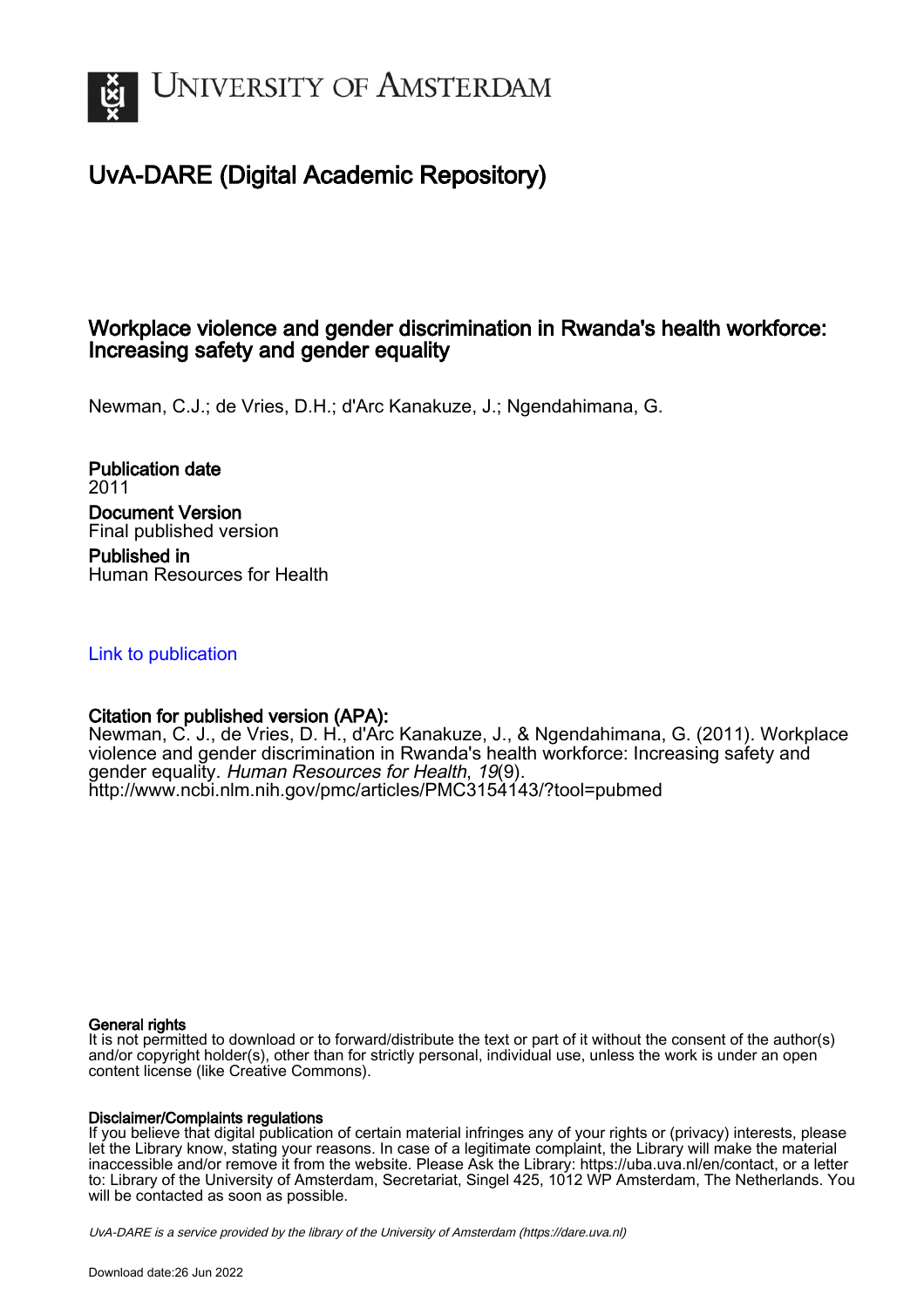

# UvA-DARE (Digital Academic Repository)

## Workplace violence and gender discrimination in Rwanda's health workforce: Increasing safety and gender equality

Newman, C.J.; de Vries, D.H.; d'Arc Kanakuze, J.; Ngendahimana, G.

Publication date 2011 Document Version Final published version Published in

Human Resources for Health

### [Link to publication](https://dare.uva.nl/personal/pure/en/publications/workplace-violence-and-gender-discrimination-in-rwandas-health-workforce-increasing-safety-and-gender-equality(9c988088-90fd-4e92-97bb-b371d78d9f61).html)

### Citation for published version (APA):

Newman, C. J., de Vries, D. H., d'Arc Kanakuze, J., & Ngendahimana, G. (2011). Workplace violence and gender discrimination in Rwanda's health workforce: Increasing safety and gender equality. Human Resources for Health, 19(9). <http://www.ncbi.nlm.nih.gov/pmc/articles/PMC3154143/?tool=pubmed>

#### General rights

It is not permitted to download or to forward/distribute the text or part of it without the consent of the author(s) and/or copyright holder(s), other than for strictly personal, individual use, unless the work is under an open content license (like Creative Commons).

#### Disclaimer/Complaints regulations

If you believe that digital publication of certain material infringes any of your rights or (privacy) interests, please let the Library know, stating your reasons. In case of a legitimate complaint, the Library will make the material inaccessible and/or remove it from the website. Please Ask the Library: https://uba.uva.nl/en/contact, or a letter to: Library of the University of Amsterdam, Secretariat, Singel 425, 1012 WP Amsterdam, The Netherlands. You will be contacted as soon as possible.

UvA-DARE is a service provided by the library of the University of Amsterdam (http*s*://dare.uva.nl)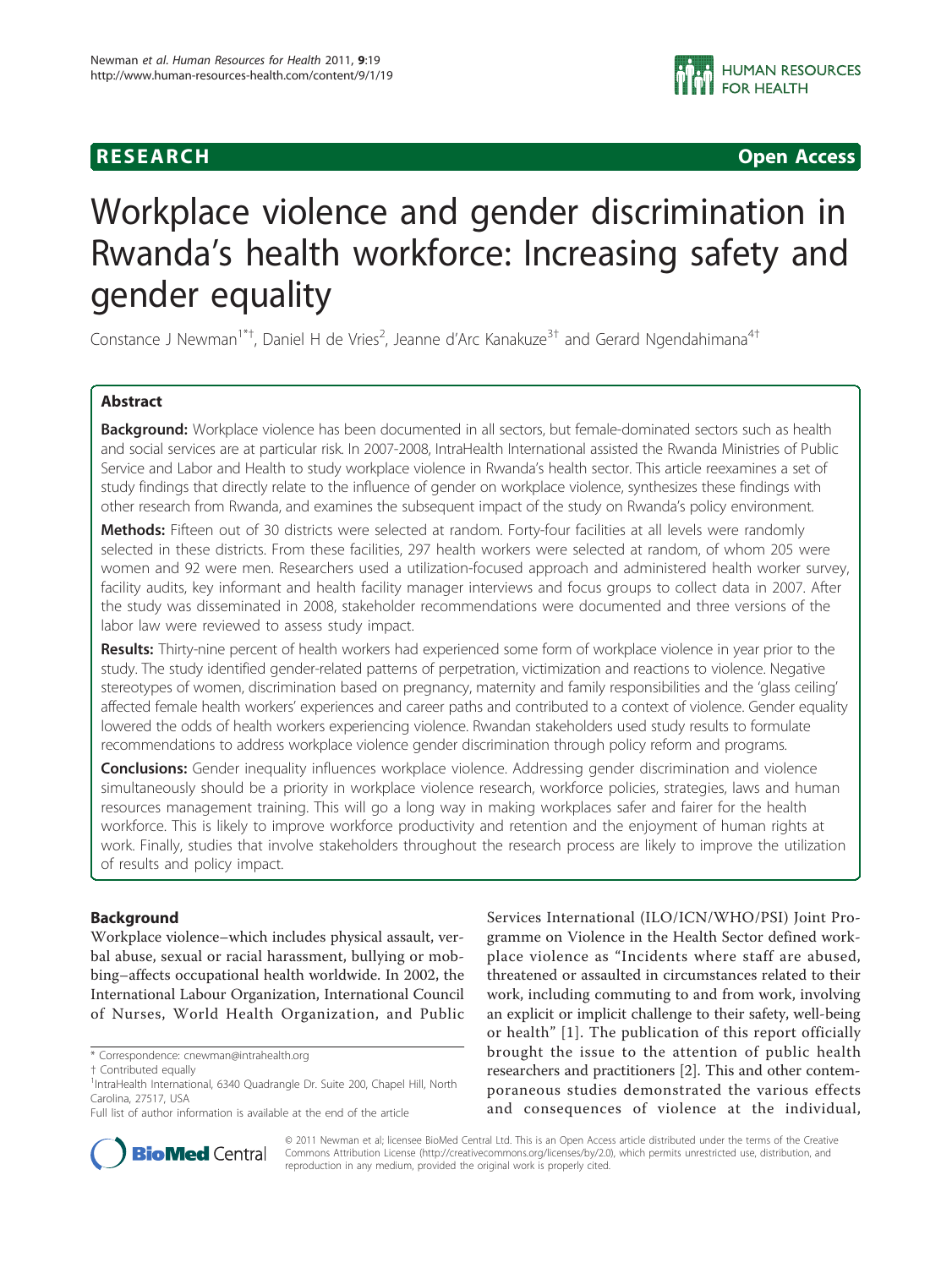**RESEARCH CONSTRUCTION CONSTRUCTS** 

# Workplace violence and gender discrimination in Rwanda's health workforce: Increasing safety and gender equality

Constance J Newman<sup>1\*†</sup>, Daniel H de Vries<sup>2</sup>, Jeanne d'Arc Kanakuze<sup>3†</sup> and Gerard Ngendahimana<sup>4†</sup>

#### Abstract

Background: Workplace violence has been documented in all sectors, but female-dominated sectors such as health and social services are at particular risk. In 2007-2008, IntraHealth International assisted the Rwanda Ministries of Public Service and Labor and Health to study workplace violence in Rwanda's health sector. This article reexamines a set of study findings that directly relate to the influence of gender on workplace violence, synthesizes these findings with other research from Rwanda, and examines the subsequent impact of the study on Rwanda's policy environment.

Methods: Fifteen out of 30 districts were selected at random. Forty-four facilities at all levels were randomly selected in these districts. From these facilities, 297 health workers were selected at random, of whom 205 were women and 92 were men. Researchers used a utilization-focused approach and administered health worker survey, facility audits, key informant and health facility manager interviews and focus groups to collect data in 2007. After the study was disseminated in 2008, stakeholder recommendations were documented and three versions of the labor law were reviewed to assess study impact.

Results: Thirty-nine percent of health workers had experienced some form of workplace violence in year prior to the study. The study identified gender-related patterns of perpetration, victimization and reactions to violence. Negative stereotypes of women, discrimination based on pregnancy, maternity and family responsibilities and the 'glass ceiling' affected female health workers' experiences and career paths and contributed to a context of violence. Gender equality lowered the odds of health workers experiencing violence. Rwandan stakeholders used study results to formulate recommendations to address workplace violence gender discrimination through policy reform and programs.

**Conclusions:** Gender inequality influences workplace violence. Addressing gender discrimination and violence simultaneously should be a priority in workplace violence research, workforce policies, strategies, laws and human resources management training. This will go a long way in making workplaces safer and fairer for the health workforce. This is likely to improve workforce productivity and retention and the enjoyment of human rights at work. Finally, studies that involve stakeholders throughout the research process are likely to improve the utilization of results and policy impact.

#### Background

Workplace violence–which includes physical assault, verbal abuse, sexual or racial harassment, bullying or mobbing–affects occupational health worldwide. In 2002, the International Labour Organization, International Council of Nurses, World Health Organization, and Public

\* Correspondence: [cnewman@intrahealth.org](mailto:cnewman@intrahealth.org)

Services International (ILO/ICN/WHO/PSI) Joint Programme on Violence in the Health Sector defined workplace violence as "Incidents where staff are abused, threatened or assaulted in circumstances related to their work, including commuting to and from work, involving an explicit or implicit challenge to their safety, well-being or health" [[1\]](#page-12-0). The publication of this report officially brought the issue to the attention of public health researchers and practitioners [\[2](#page-12-0)]. This and other contemporaneous studies demonstrated the various effects and consequences of violence at the individual,



© 2011 Newman et al; licensee BioMed Central Ltd. This is an Open Access article distributed under the terms of the Creative Commons Attribution License [\(http://creativecommons.org/licenses/by/2.0](http://creativecommons.org/licenses/by/2.0)), which permits unrestricted use, distribution, and reproduction in any medium, provided the original work is properly cited.

<sup>†</sup> Contributed equally <sup>1</sup>

<sup>&</sup>lt;sup>1</sup>IntraHealth International, 6340 Quadrangle Dr. Suite 200, Chapel Hill, North Carolina, 27517, USA

Full list of author information is available at the end of the article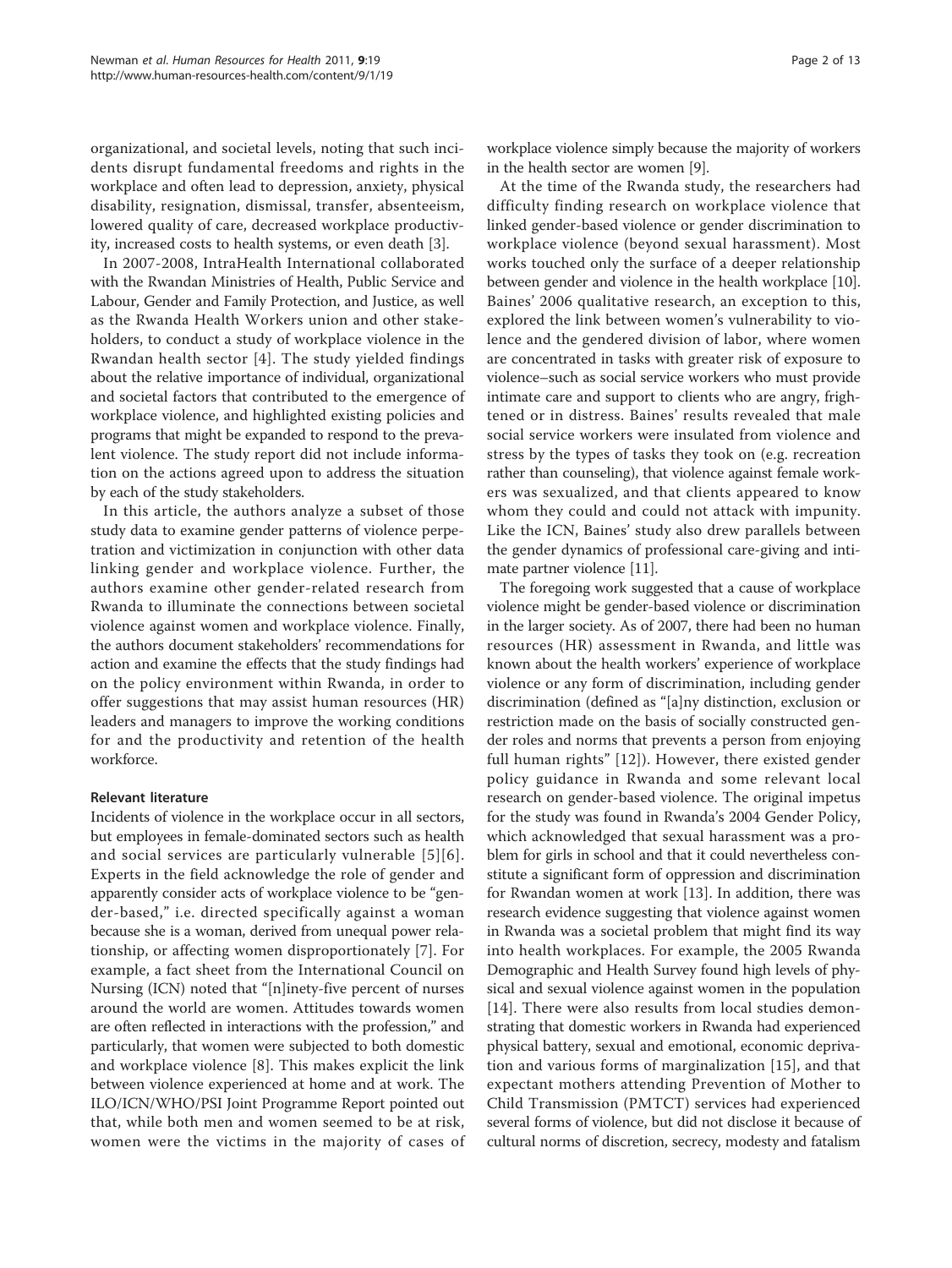organizational, and societal levels, noting that such incidents disrupt fundamental freedoms and rights in the workplace and often lead to depression, anxiety, physical disability, resignation, dismissal, transfer, absenteeism, lowered quality of care, decreased workplace productivity, increased costs to health systems, or even death [\[3](#page-12-0)].

In 2007-2008, IntraHealth International collaborated with the Rwandan Ministries of Health, Public Service and Labour, Gender and Family Protection, and Justice, as well as the Rwanda Health Workers union and other stakeholders, to conduct a study of workplace violence in the Rwandan health sector [[4](#page-12-0)]. The study yielded findings about the relative importance of individual, organizational and societal factors that contributed to the emergence of workplace violence, and highlighted existing policies and programs that might be expanded to respond to the prevalent violence. The study report did not include information on the actions agreed upon to address the situation by each of the study stakeholders.

In this article, the authors analyze a subset of those study data to examine gender patterns of violence perpetration and victimization in conjunction with other data linking gender and workplace violence. Further, the authors examine other gender-related research from Rwanda to illuminate the connections between societal violence against women and workplace violence. Finally, the authors document stakeholders' recommendations for action and examine the effects that the study findings had on the policy environment within Rwanda, in order to offer suggestions that may assist human resources (HR) leaders and managers to improve the working conditions for and the productivity and retention of the health workforce.

#### Relevant literature

Incidents of violence in the workplace occur in all sectors, but employees in female-dominated sectors such as health and social services are particularly vulnerable [[5\]](#page-12-0)[[6\]](#page-12-0). Experts in the field acknowledge the role of gender and apparently consider acts of workplace violence to be "gender-based," i.e. directed specifically against a woman because she is a woman, derived from unequal power relationship, or affecting women disproportionately [[7\]](#page-12-0). For example, a fact sheet from the International Council on Nursing (ICN) noted that "[n]inety-five percent of nurses around the world are women. Attitudes towards women are often reflected in interactions with the profession," and particularly, that women were subjected to both domestic and workplace violence [[8\]](#page-12-0). This makes explicit the link between violence experienced at home and at work. The ILO/ICN/WHO/PSI Joint Programme Report pointed out that, while both men and women seemed to be at risk, women were the victims in the majority of cases of workplace violence simply because the majority of workers in the health sector are women [\[9\]](#page-12-0).

At the time of the Rwanda study, the researchers had difficulty finding research on workplace violence that linked gender-based violence or gender discrimination to workplace violence (beyond sexual harassment). Most works touched only the surface of a deeper relationship between gender and violence in the health workplace [[10](#page-12-0)]. Baines' 2006 qualitative research, an exception to this, explored the link between women's vulnerability to violence and the gendered division of labor, where women are concentrated in tasks with greater risk of exposure to violence–such as social service workers who must provide intimate care and support to clients who are angry, frightened or in distress. Baines' results revealed that male social service workers were insulated from violence and stress by the types of tasks they took on (e.g. recreation rather than counseling), that violence against female workers was sexualized, and that clients appeared to know whom they could and could not attack with impunity. Like the ICN, Baines' study also drew parallels between the gender dynamics of professional care-giving and intimate partner violence [\[11\]](#page-12-0).

The foregoing work suggested that a cause of workplace violence might be gender-based violence or discrimination in the larger society. As of 2007, there had been no human resources (HR) assessment in Rwanda, and little was known about the health workers' experience of workplace violence or any form of discrimination, including gender discrimination (defined as "[a]ny distinction, exclusion or restriction made on the basis of socially constructed gender roles and norms that prevents a person from enjoying full human rights" [[12](#page-12-0)]). However, there existed gender policy guidance in Rwanda and some relevant local research on gender-based violence. The original impetus for the study was found in Rwanda's 2004 Gender Policy, which acknowledged that sexual harassment was a problem for girls in school and that it could nevertheless constitute a significant form of oppression and discrimination for Rwandan women at work [[13](#page-12-0)]. In addition, there was research evidence suggesting that violence against women in Rwanda was a societal problem that might find its way into health workplaces. For example, the 2005 Rwanda Demographic and Health Survey found high levels of physical and sexual violence against women in the population [[14](#page-12-0)]. There were also results from local studies demonstrating that domestic workers in Rwanda had experienced physical battery, sexual and emotional, economic deprivation and various forms of marginalization [\[15](#page-12-0)], and that expectant mothers attending Prevention of Mother to Child Transmission (PMTCT) services had experienced several forms of violence, but did not disclose it because of cultural norms of discretion, secrecy, modesty and fatalism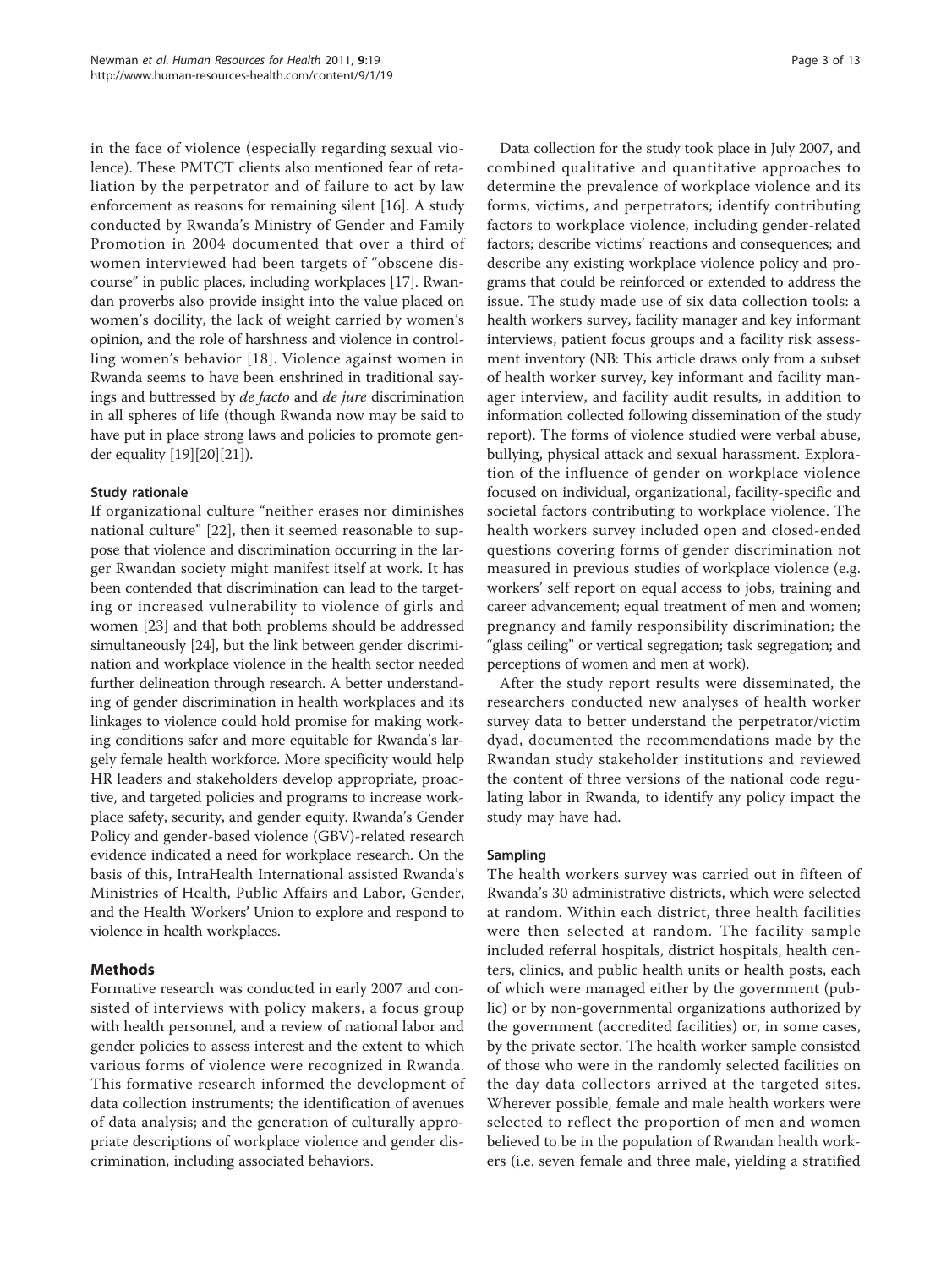in the face of violence (especially regarding sexual violence). These PMTCT clients also mentioned fear of retaliation by the perpetrator and of failure to act by law enforcement as reasons for remaining silent [\[16\]](#page-12-0). A study conducted by Rwanda's Ministry of Gender and Family Promotion in 2004 documented that over a third of women interviewed had been targets of "obscene discourse" in public places, including workplaces [\[17\]](#page-12-0). Rwandan proverbs also provide insight into the value placed on women's docility, the lack of weight carried by women's opinion, and the role of harshness and violence in controlling women's behavior [[18\]](#page-12-0). Violence against women in Rwanda seems to have been enshrined in traditional sayings and buttressed by de facto and de jure discrimination in all spheres of life (though Rwanda now may be said to have put in place strong laws and policies to promote gender equality [\[19\]](#page-12-0)[[20](#page-12-0)][[21](#page-12-0)]).

#### Study rationale

If organizational culture "neither erases nor diminishes national culture" [\[22](#page-12-0)], then it seemed reasonable to suppose that violence and discrimination occurring in the larger Rwandan society might manifest itself at work. It has been contended that discrimination can lead to the targeting or increased vulnerability to violence of girls and women [[23\]](#page-12-0) and that both problems should be addressed simultaneously [\[24\]](#page-12-0), but the link between gender discrimination and workplace violence in the health sector needed further delineation through research. A better understanding of gender discrimination in health workplaces and its linkages to violence could hold promise for making working conditions safer and more equitable for Rwanda's largely female health workforce. More specificity would help HR leaders and stakeholders develop appropriate, proactive, and targeted policies and programs to increase workplace safety, security, and gender equity. Rwanda's Gender Policy and gender-based violence (GBV)-related research evidence indicated a need for workplace research. On the basis of this, IntraHealth International assisted Rwanda's Ministries of Health, Public Affairs and Labor, Gender, and the Health Workers' Union to explore and respond to violence in health workplaces.

#### Methods

Formative research was conducted in early 2007 and consisted of interviews with policy makers, a focus group with health personnel, and a review of national labor and gender policies to assess interest and the extent to which various forms of violence were recognized in Rwanda. This formative research informed the development of data collection instruments; the identification of avenues of data analysis; and the generation of culturally appropriate descriptions of workplace violence and gender discrimination, including associated behaviors.

Data collection for the study took place in July 2007, and combined qualitative and quantitative approaches to determine the prevalence of workplace violence and its forms, victims, and perpetrators; identify contributing factors to workplace violence, including gender-related factors; describe victims' reactions and consequences; and describe any existing workplace violence policy and programs that could be reinforced or extended to address the issue. The study made use of six data collection tools: a health workers survey, facility manager and key informant interviews, patient focus groups and a facility risk assessment inventory (NB: This article draws only from a subset of health worker survey, key informant and facility manager interview, and facility audit results, in addition to information collected following dissemination of the study report). The forms of violence studied were verbal abuse, bullying, physical attack and sexual harassment. Exploration of the influence of gender on workplace violence focused on individual, organizational, facility-specific and societal factors contributing to workplace violence. The health workers survey included open and closed-ended questions covering forms of gender discrimination not measured in previous studies of workplace violence (e.g. workers' self report on equal access to jobs, training and career advancement; equal treatment of men and women; pregnancy and family responsibility discrimination; the "glass ceiling" or vertical segregation; task segregation; and perceptions of women and men at work).

After the study report results were disseminated, the researchers conducted new analyses of health worker survey data to better understand the perpetrator/victim dyad, documented the recommendations made by the Rwandan study stakeholder institutions and reviewed the content of three versions of the national code regulating labor in Rwanda, to identify any policy impact the study may have had.

#### Sampling

The health workers survey was carried out in fifteen of Rwanda's 30 administrative districts, which were selected at random. Within each district, three health facilities were then selected at random. The facility sample included referral hospitals, district hospitals, health centers, clinics, and public health units or health posts, each of which were managed either by the government (public) or by non-governmental organizations authorized by the government (accredited facilities) or, in some cases, by the private sector. The health worker sample consisted of those who were in the randomly selected facilities on the day data collectors arrived at the targeted sites. Wherever possible, female and male health workers were selected to reflect the proportion of men and women believed to be in the population of Rwandan health workers (i.e. seven female and three male, yielding a stratified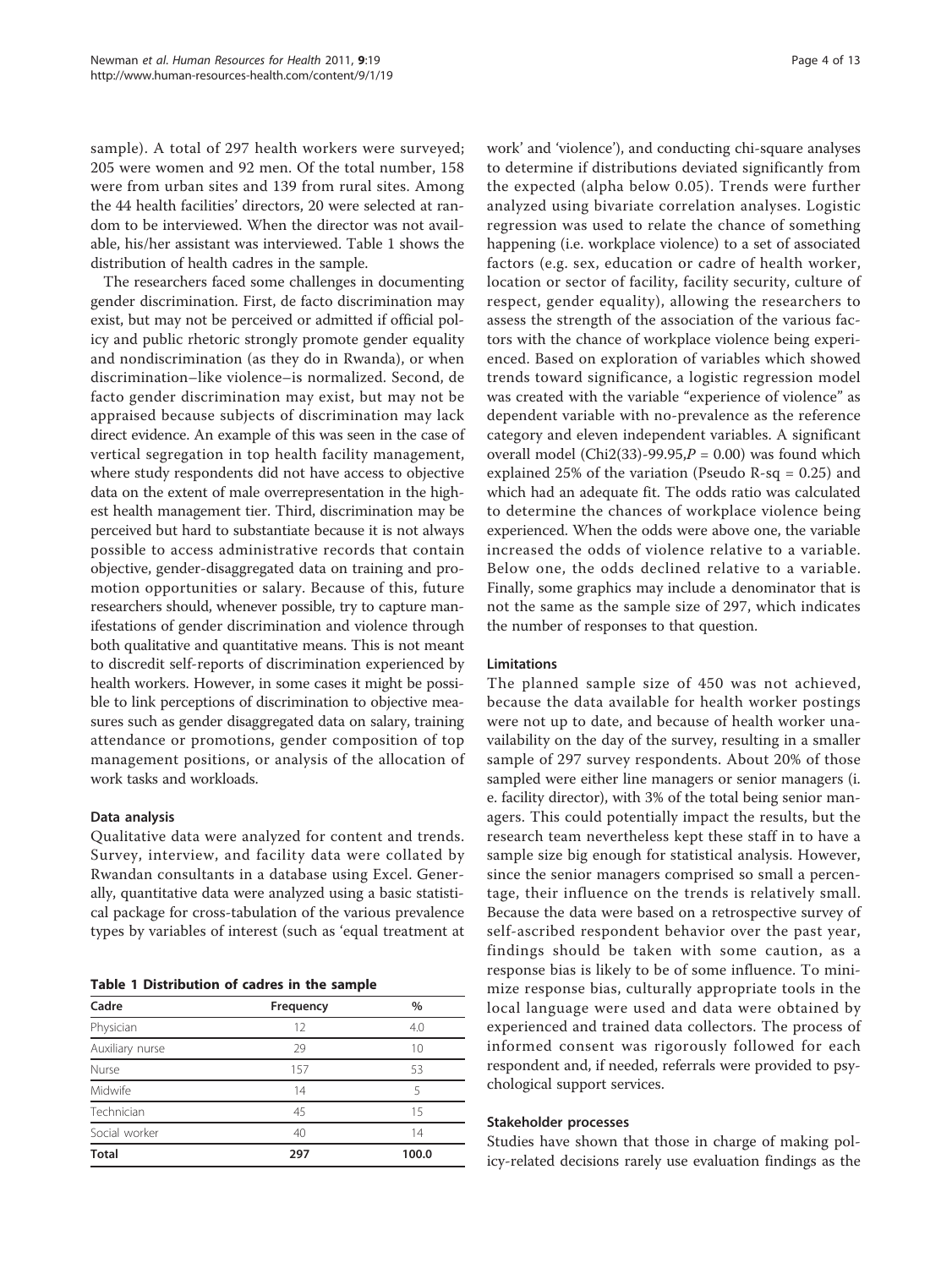sample). A total of 297 health workers were surveyed; 205 were women and 92 men. Of the total number, 158 were from urban sites and 139 from rural sites. Among the 44 health facilities' directors, 20 were selected at random to be interviewed. When the director was not available, his/her assistant was interviewed. Table 1 shows the distribution of health cadres in the sample.

The researchers faced some challenges in documenting gender discrimination. First, de facto discrimination may exist, but may not be perceived or admitted if official policy and public rhetoric strongly promote gender equality and nondiscrimination (as they do in Rwanda), or when discrimination–like violence–is normalized. Second, de facto gender discrimination may exist, but may not be appraised because subjects of discrimination may lack direct evidence. An example of this was seen in the case of vertical segregation in top health facility management, where study respondents did not have access to objective data on the extent of male overrepresentation in the highest health management tier. Third, discrimination may be perceived but hard to substantiate because it is not always possible to access administrative records that contain objective, gender-disaggregated data on training and promotion opportunities or salary. Because of this, future researchers should, whenever possible, try to capture manifestations of gender discrimination and violence through both qualitative and quantitative means. This is not meant to discredit self-reports of discrimination experienced by health workers. However, in some cases it might be possible to link perceptions of discrimination to objective measures such as gender disaggregated data on salary, training attendance or promotions, gender composition of top management positions, or analysis of the allocation of work tasks and workloads.

#### Data analysis

Qualitative data were analyzed for content and trends. Survey, interview, and facility data were collated by Rwandan consultants in a database using Excel. Generally, quantitative data were analyzed using a basic statistical package for cross-tabulation of the various prevalence types by variables of interest (such as 'equal treatment at

Table 1 Distribution of cadres in the sample

| Cadre           | Frequency | $\%$  |
|-----------------|-----------|-------|
| Physician       | 12        | 4.0   |
| Auxiliary nurse | 29        | 10    |
| Nurse           | 157       | 53    |
| Midwife         | 14        | 5     |
| Technician      | 45        | 15    |
| Social worker   | 40        | 14    |
| <b>Total</b>    | 297       | 100.0 |

work' and 'violence'), and conducting chi-square analyses to determine if distributions deviated significantly from the expected (alpha below 0.05). Trends were further analyzed using bivariate correlation analyses. Logistic regression was used to relate the chance of something happening (i.e. workplace violence) to a set of associated factors (e.g. sex, education or cadre of health worker, location or sector of facility, facility security, culture of respect, gender equality), allowing the researchers to assess the strength of the association of the various factors with the chance of workplace violence being experienced. Based on exploration of variables which showed trends toward significance, a logistic regression model was created with the variable "experience of violence" as dependent variable with no-prevalence as the reference category and eleven independent variables. A significant overall model (Chi2(33)-99.95, $P = 0.00$ ) was found which explained 25% of the variation (Pseudo R-sq = 0.25) and which had an adequate fit. The odds ratio was calculated to determine the chances of workplace violence being experienced. When the odds were above one, the variable increased the odds of violence relative to a variable. Below one, the odds declined relative to a variable. Finally, some graphics may include a denominator that is not the same as the sample size of 297, which indicates the number of responses to that question.

#### Limitations

The planned sample size of 450 was not achieved, because the data available for health worker postings were not up to date, and because of health worker unavailability on the day of the survey, resulting in a smaller sample of 297 survey respondents. About 20% of those sampled were either line managers or senior managers (i. e. facility director), with 3% of the total being senior managers. This could potentially impact the results, but the research team nevertheless kept these staff in to have a sample size big enough for statistical analysis. However, since the senior managers comprised so small a percentage, their influence on the trends is relatively small. Because the data were based on a retrospective survey of self-ascribed respondent behavior over the past year, findings should be taken with some caution, as a response bias is likely to be of some influence. To minimize response bias, culturally appropriate tools in the local language were used and data were obtained by experienced and trained data collectors. The process of informed consent was rigorously followed for each respondent and, if needed, referrals were provided to psychological support services.

#### Stakeholder processes

Studies have shown that those in charge of making policy-related decisions rarely use evaluation findings as the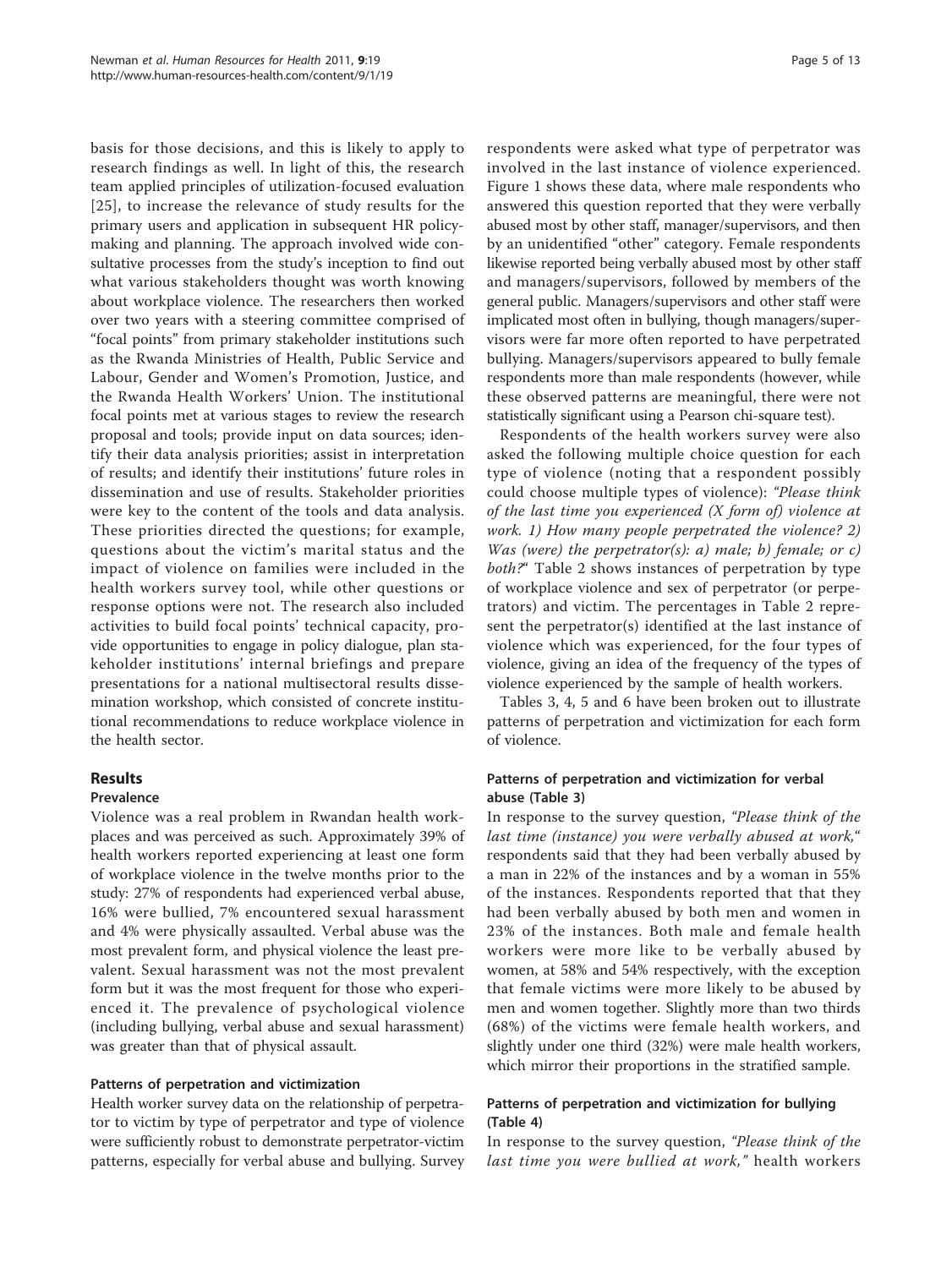basis for those decisions, and this is likely to apply to research findings as well. In light of this, the research team applied principles of utilization-focused evaluation [[25](#page-12-0)], to increase the relevance of study results for the primary users and application in subsequent HR policymaking and planning. The approach involved wide consultative processes from the study's inception to find out what various stakeholders thought was worth knowing about workplace violence. The researchers then worked over two years with a steering committee comprised of "focal points" from primary stakeholder institutions such as the Rwanda Ministries of Health, Public Service and Labour, Gender and Women's Promotion, Justice, and the Rwanda Health Workers' Union. The institutional focal points met at various stages to review the research proposal and tools; provide input on data sources; identify their data analysis priorities; assist in interpretation of results; and identify their institutions' future roles in dissemination and use of results. Stakeholder priorities were key to the content of the tools and data analysis. These priorities directed the questions; for example, questions about the victim's marital status and the impact of violence on families were included in the health workers survey tool, while other questions or response options were not. The research also included activities to build focal points' technical capacity, provide opportunities to engage in policy dialogue, plan stakeholder institutions' internal briefings and prepare presentations for a national multisectoral results dissemination workshop, which consisted of concrete institutional recommendations to reduce workplace violence in the health sector.

#### Results

#### Prevalence

Violence was a real problem in Rwandan health workplaces and was perceived as such. Approximately 39% of health workers reported experiencing at least one form of workplace violence in the twelve months prior to the study: 27% of respondents had experienced verbal abuse, 16% were bullied, 7% encountered sexual harassment and 4% were physically assaulted. Verbal abuse was the most prevalent form, and physical violence the least prevalent. Sexual harassment was not the most prevalent form but it was the most frequent for those who experienced it. The prevalence of psychological violence (including bullying, verbal abuse and sexual harassment) was greater than that of physical assault.

#### Patterns of perpetration and victimization

Health worker survey data on the relationship of perpetrator to victim by type of perpetrator and type of violence were sufficiently robust to demonstrate perpetrator-victim patterns, especially for verbal abuse and bullying. Survey respondents were asked what type of perpetrator was involved in the last instance of violence experienced. Figure [1](#page-6-0) shows these data, where male respondents who answered this question reported that they were verbally abused most by other staff, manager/supervisors, and then by an unidentified "other" category. Female respondents likewise reported being verbally abused most by other staff and managers/supervisors, followed by members of the general public. Managers/supervisors and other staff were implicated most often in bullying, though managers/supervisors were far more often reported to have perpetrated bullying. Managers/supervisors appeared to bully female respondents more than male respondents (however, while these observed patterns are meaningful, there were not statistically significant using a Pearson chi-square test).

Respondents of the health workers survey were also asked the following multiple choice question for each type of violence (noting that a respondent possibly could choose multiple types of violence): "Please think of the last time you experienced (X form of) violence at work. 1) How many people perpetrated the violence? 2) Was (were) the perpetrator(s): a) male; b) female; or c) both?" Table [2](#page-6-0) shows instances of perpetration by type of workplace violence and sex of perpetrator (or perpetrators) and victim. The percentages in Table [2](#page-6-0) represent the perpetrator(s) identified at the last instance of violence which was experienced, for the four types of violence, giving an idea of the frequency of the types of violence experienced by the sample of health workers.

Tables [3, 4, 5](#page-7-0) and [6](#page-7-0) have been broken out to illustrate patterns of perpetration and victimization for each form of violence.

#### Patterns of perpetration and victimization for verbal abuse (Table [3\)](#page-7-0)

In response to the survey question, "Please think of the last time (instance) you were verbally abused at work," respondents said that they had been verbally abused by a man in 22% of the instances and by a woman in 55% of the instances. Respondents reported that that they had been verbally abused by both men and women in 23% of the instances. Both male and female health workers were more like to be verbally abused by women, at 58% and 54% respectively, with the exception that female victims were more likely to be abused by men and women together. Slightly more than two thirds (68%) of the victims were female health workers, and slightly under one third (32%) were male health workers, which mirror their proportions in the stratified sample.

#### Patterns of perpetration and victimization for bullying (Table [4\)](#page-7-0)

In response to the survey question, "Please think of the last time you were bullied at work," health workers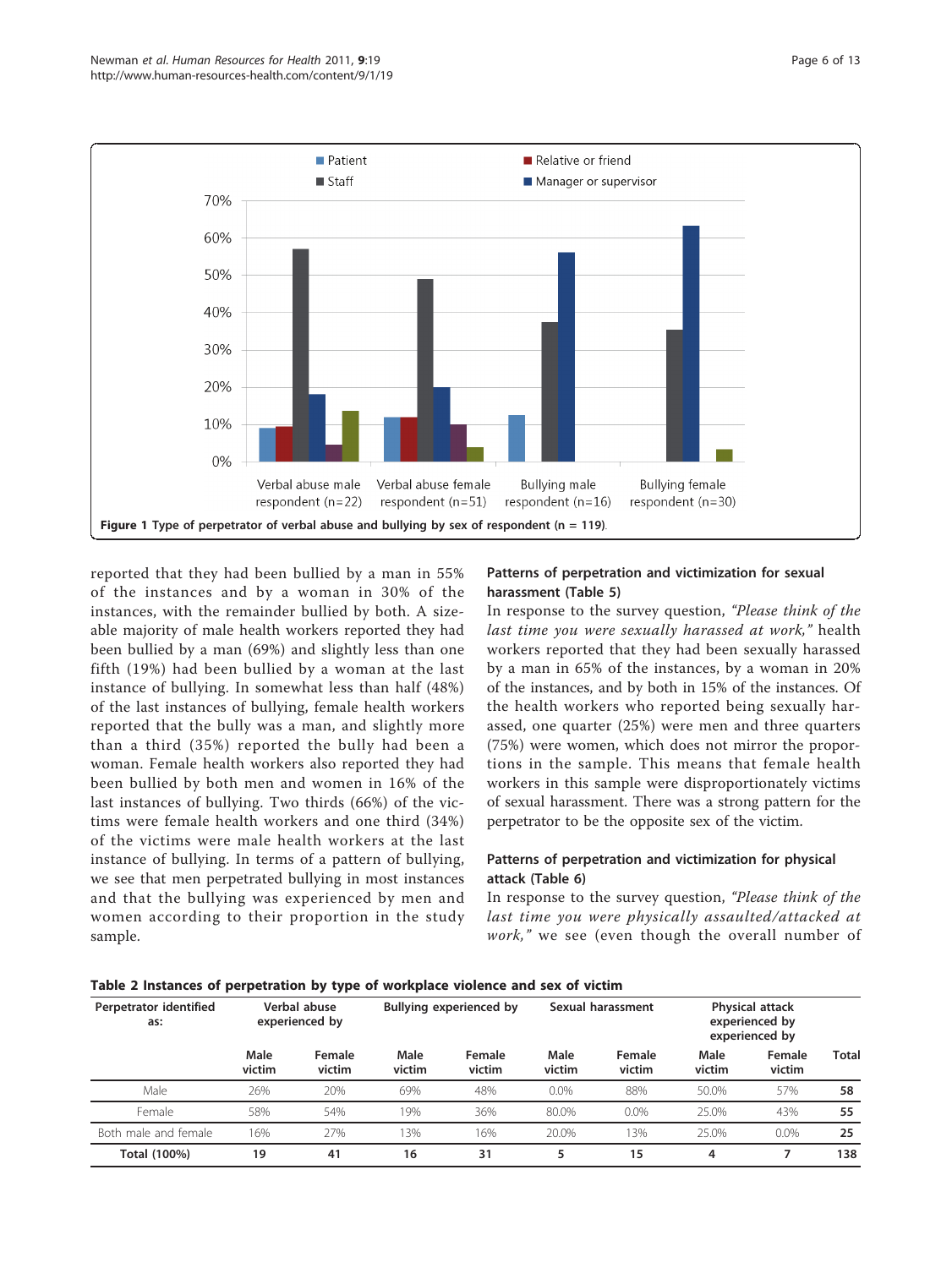<span id="page-6-0"></span>

reported that they had been bullied by a man in 55% of the instances and by a woman in 30% of the instances, with the remainder bullied by both. A sizeable majority of male health workers reported they had been bullied by a man (69%) and slightly less than one fifth (19%) had been bullied by a woman at the last instance of bullying. In somewhat less than half (48%) of the last instances of bullying, female health workers reported that the bully was a man, and slightly more than a third (35%) reported the bully had been a woman. Female health workers also reported they had been bullied by both men and women in 16% of the last instances of bullying. Two thirds (66%) of the victims were female health workers and one third (34%) of the victims were male health workers at the last instance of bullying. In terms of a pattern of bullying, we see that men perpetrated bullying in most instances and that the bullying was experienced by men and women according to their proportion in the study sample.

#### Patterns of perpetration and victimization for sexual harassment (Table [5\)](#page-7-0)

In response to the survey question, "Please think of the last time you were sexually harassed at work," health workers reported that they had been sexually harassed by a man in 65% of the instances, by a woman in 20% of the instances, and by both in 15% of the instances. Of the health workers who reported being sexually harassed, one quarter (25%) were men and three quarters (75%) were women, which does not mirror the proportions in the sample. This means that female health workers in this sample were disproportionately victims of sexual harassment. There was a strong pattern for the perpetrator to be the opposite sex of the victim.

#### Patterns of perpetration and victimization for physical attack (Table [6](#page-7-0))

In response to the survey question, "Please think of the last time you were physically assaulted/attacked at work," we see (even though the overall number of

| Table 2 Instances of perpetration by type of workplace violence and sex of victim |  |  |  |  |  |
|-----------------------------------------------------------------------------------|--|--|--|--|--|
|                                                                                   |  |  |  |  |  |

| Perpetrator identified<br>as: | Verbal abuse<br>experienced by |                  | Bullying experienced by |                  | Sexual harassment |                  | Physical attack<br>experienced by<br>experienced by |                  |       |
|-------------------------------|--------------------------------|------------------|-------------------------|------------------|-------------------|------------------|-----------------------------------------------------|------------------|-------|
|                               | Male<br>victim                 | Female<br>victim | Male<br>victim          | Female<br>victim | Male<br>victim    | Female<br>victim | Male<br>victim                                      | Female<br>victim | Total |
| Male                          | 26%                            | 20%              | 69%                     | 48%              | $0.0\%$           | 88%              | 50.0%                                               | 57%              | 58    |
| Female                        | 58%                            | 54%              | 19%                     | 36%              | 80.0%             | 0.0%             | 25.0%                                               | 43%              | 55    |
| Both male and female          | 16%                            | 27%              | 13%                     | 16%              | 20.0%             | 13%              | 25.0%                                               | 0.0%             | 25    |
| Total (100%)                  | 19                             | 41               | 16                      | 31               | 5                 | 15               | 4                                                   |                  | 138   |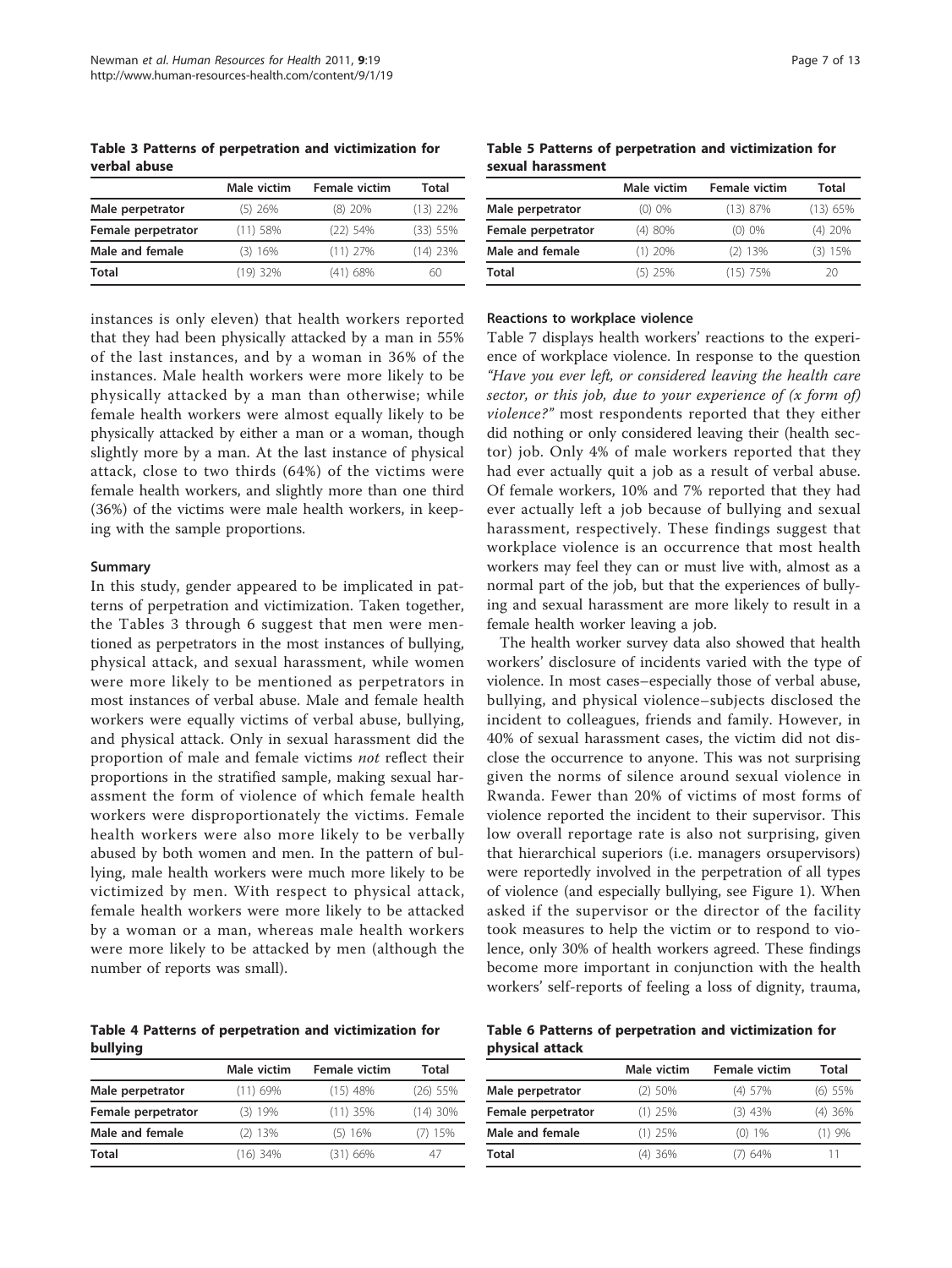<span id="page-7-0"></span>Table 3 Patterns of perpetration and victimization for verbal abuse

|                    | Male victim | Female victim | Total      |
|--------------------|-------------|---------------|------------|
| Male perpetrator   | (5) 26%     | $(8)$ 20%     | $(13)$ 22% |
| Female perpetrator | (11) 58%    | $(22)$ 54%    | (33) 55%   |
| Male and female    | (3) 16%     | $(11)$ 27%    | $(14)$ 23% |
| Total              | $(19)$ 32%  | (41) 68%      | 60         |

Table 5 Patterns of perpetration and victimization for sexual harassment

|                    | Male victim | <b>Female victim</b> | Total      |
|--------------------|-------------|----------------------|------------|
| Male perpetrator   | $(0)$ 0%    | $(13)$ 87%           | $(13)$ 65% |
| Female perpetrator | (4) 80%     | $(0)$ 0%             | $(4)$ 20%  |
| Male and female    | $(1)$ 20%   | $(2)$ 13%            | (3) 15%    |
| Total              | (5) 25%     | $(15)$ 75%           | 20         |

instances is only eleven) that health workers reported that they had been physically attacked by a man in 55% of the last instances, and by a woman in 36% of the instances. Male health workers were more likely to be physically attacked by a man than otherwise; while female health workers were almost equally likely to be physically attacked by either a man or a woman, though slightly more by a man. At the last instance of physical attack, close to two thirds (64%) of the victims were female health workers, and slightly more than one third (36%) of the victims were male health workers, in keeping with the sample proportions.

#### Summary

In this study, gender appeared to be implicated in patterns of perpetration and victimization. Taken together, the Tables 3 through 6 suggest that men were mentioned as perpetrators in the most instances of bullying, physical attack, and sexual harassment, while women were more likely to be mentioned as perpetrators in most instances of verbal abuse. Male and female health workers were equally victims of verbal abuse, bullying, and physical attack. Only in sexual harassment did the proportion of male and female victims not reflect their proportions in the stratified sample, making sexual harassment the form of violence of which female health workers were disproportionately the victims. Female health workers were also more likely to be verbally abused by both women and men. In the pattern of bullying, male health workers were much more likely to be victimized by men. With respect to physical attack, female health workers were more likely to be attacked by a woman or a man, whereas male health workers were more likely to be attacked by men (although the number of reports was small).

Table 4 Patterns of perpetration and victimization for bullying

|                    | Male victim | Female victim | Total      |
|--------------------|-------------|---------------|------------|
| Male perpetrator   | $(11)$ 69%  | $(15)$ 48%    | $(26)$ 55% |
| Female perpetrator | $(3)$ 19%   | $(11)$ 35%    | $(14)$ 30% |
| Male and female    | $(2)$ 13%   | $(5)$ 16%     | $(7)$ 15%  |
| <b>Total</b>       | $(16)$ 34%  | $(31)$ 66%    | 47         |

#### Reactions to workplace violence

Table [7](#page-8-0) displays health workers' reactions to the experience of workplace violence. In response to the question "Have you ever left, or considered leaving the health care sector, or this job, due to your experience of  $(x \text{ form of})$ violence?" most respondents reported that they either did nothing or only considered leaving their (health sector) job. Only 4% of male workers reported that they had ever actually quit a job as a result of verbal abuse. Of female workers, 10% and 7% reported that they had ever actually left a job because of bullying and sexual harassment, respectively. These findings suggest that workplace violence is an occurrence that most health workers may feel they can or must live with, almost as a normal part of the job, but that the experiences of bullying and sexual harassment are more likely to result in a female health worker leaving a job.

The health worker survey data also showed that health workers' disclosure of incidents varied with the type of violence. In most cases–especially those of verbal abuse, bullying, and physical violence–subjects disclosed the incident to colleagues, friends and family. However, in 40% of sexual harassment cases, the victim did not disclose the occurrence to anyone. This was not surprising given the norms of silence around sexual violence in Rwanda. Fewer than 20% of victims of most forms of violence reported the incident to their supervisor. This low overall reportage rate is also not surprising, given that hierarchical superiors (i.e. managers orsupervisors) were reportedly involved in the perpetration of all types of violence (and especially bullying, see Figure [1\)](#page-6-0). When asked if the supervisor or the director of the facility took measures to help the victim or to respond to violence, only 30% of health workers agreed. These findings become more important in conjunction with the health workers' self-reports of feeling a loss of dignity, trauma,

Table 6 Patterns of perpetration and victimization for physical attack

|                    | Male victim | Female victim | Total     |
|--------------------|-------------|---------------|-----------|
| Male perpetrator   | $(2)$ 50%   | $(4)$ 57%     | $(6)$ 55% |
| Female perpetrator | $(1)$ 25%   | $(3)$ 43%     | (4)36%    |
| Male and female    | $(1)$ 25%   | $(0)$ 1%      | (1) 9%    |
| Total              | $(4)$ 36%   | (7) 64%       | 11        |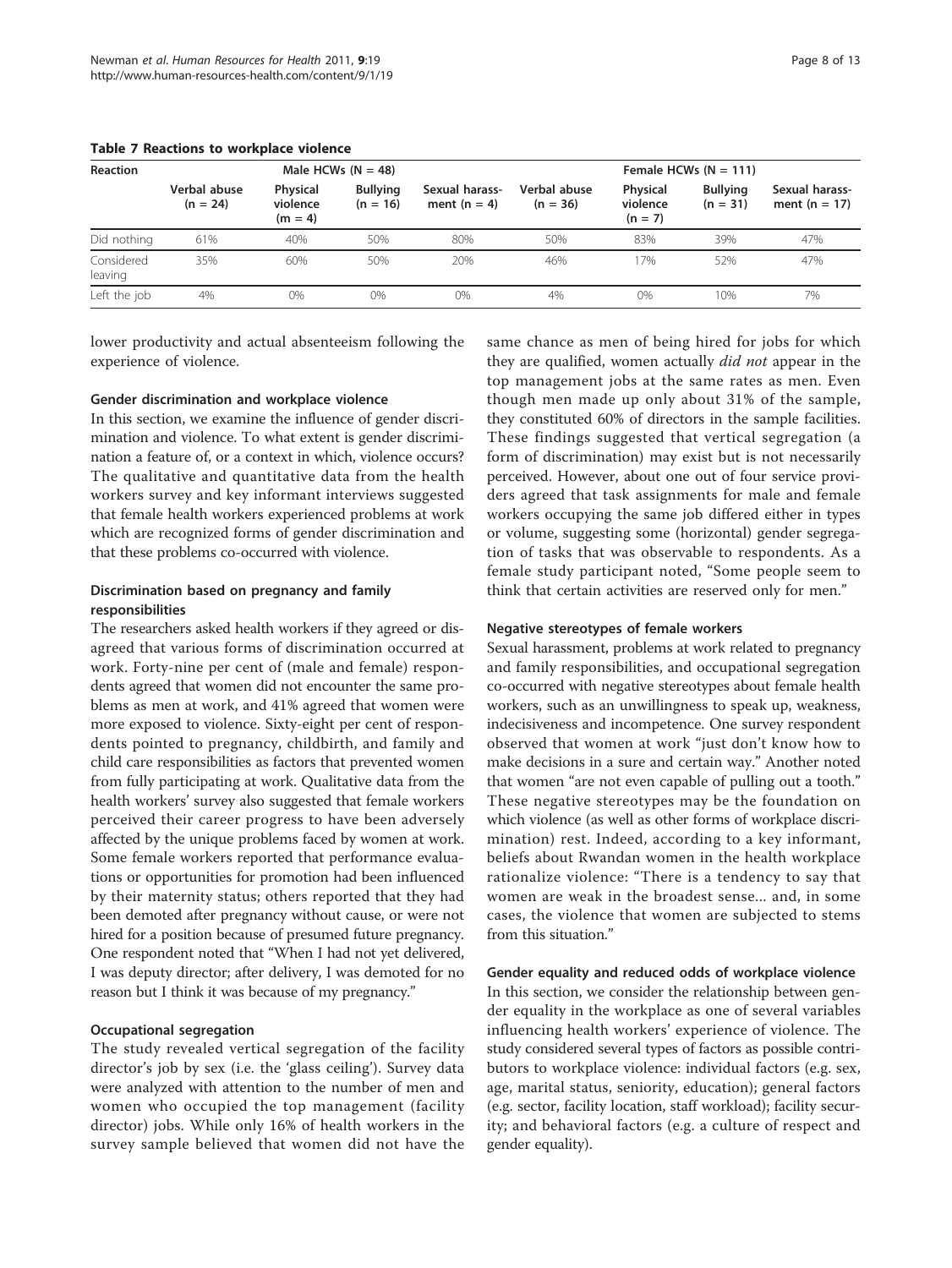| <b>Reaction</b><br>Male HCWs $(N = 48)$ |                            |                                   |                               |                                  |                            | Female HCWs $(N = 111)$           |                               |                                   |
|-----------------------------------------|----------------------------|-----------------------------------|-------------------------------|----------------------------------|----------------------------|-----------------------------------|-------------------------------|-----------------------------------|
|                                         | Verbal abuse<br>$(n = 24)$ | Physical<br>violence<br>$(m = 4)$ | <b>Bullying</b><br>$(n = 16)$ | Sexual harass-<br>ment $(n = 4)$ | Verbal abuse<br>$(n = 36)$ | Physical<br>violence<br>$(n = 7)$ | <b>Bullying</b><br>$(n = 31)$ | Sexual harass-<br>ment $(n = 17)$ |
| Did nothing                             | 61%                        | 40%                               | 50%                           | 80%                              | 50%                        | 83%                               | 39%                           | 47%                               |
| Considered<br>leaving                   | 35%                        | 60%                               | 50%                           | 20%                              | 46%                        | 17%                               | 52%                           | 47%                               |
| Left the job                            | 4%                         | 0%                                | 0%                            | 0%                               | 4%                         | 0%                                | 10%                           | 7%                                |

<span id="page-8-0"></span>Table 7 Reactions to workplace violence

lower productivity and actual absenteeism following the experience of violence.

#### Gender discrimination and workplace violence

In this section, we examine the influence of gender discrimination and violence. To what extent is gender discrimination a feature of, or a context in which, violence occurs? The qualitative and quantitative data from the health workers survey and key informant interviews suggested that female health workers experienced problems at work which are recognized forms of gender discrimination and that these problems co-occurred with violence.

#### Discrimination based on pregnancy and family responsibilities

The researchers asked health workers if they agreed or disagreed that various forms of discrimination occurred at work. Forty-nine per cent of (male and female) respondents agreed that women did not encounter the same problems as men at work, and 41% agreed that women were more exposed to violence. Sixty-eight per cent of respondents pointed to pregnancy, childbirth, and family and child care responsibilities as factors that prevented women from fully participating at work. Qualitative data from the health workers' survey also suggested that female workers perceived their career progress to have been adversely affected by the unique problems faced by women at work. Some female workers reported that performance evaluations or opportunities for promotion had been influenced by their maternity status; others reported that they had been demoted after pregnancy without cause, or were not hired for a position because of presumed future pregnancy. One respondent noted that "When I had not yet delivered, I was deputy director; after delivery, I was demoted for no reason but I think it was because of my pregnancy."

#### Occupational segregation

The study revealed vertical segregation of the facility director's job by sex (i.e. the 'glass ceiling'). Survey data were analyzed with attention to the number of men and women who occupied the top management (facility director) jobs. While only 16% of health workers in the survey sample believed that women did not have the same chance as men of being hired for jobs for which they are qualified, women actually *did not* appear in the top management jobs at the same rates as men. Even though men made up only about 31% of the sample, they constituted 60% of directors in the sample facilities. These findings suggested that vertical segregation (a form of discrimination) may exist but is not necessarily perceived. However, about one out of four service providers agreed that task assignments for male and female workers occupying the same job differed either in types or volume, suggesting some (horizontal) gender segregation of tasks that was observable to respondents. As a female study participant noted, "Some people seem to think that certain activities are reserved only for men."

#### Negative stereotypes of female workers

Sexual harassment, problems at work related to pregnancy and family responsibilities, and occupational segregation co-occurred with negative stereotypes about female health workers, such as an unwillingness to speak up, weakness, indecisiveness and incompetence. One survey respondent observed that women at work "just don't know how to make decisions in a sure and certain way." Another noted that women "are not even capable of pulling out a tooth." These negative stereotypes may be the foundation on which violence (as well as other forms of workplace discrimination) rest. Indeed, according to a key informant, beliefs about Rwandan women in the health workplace rationalize violence: "There is a tendency to say that women are weak in the broadest sense... and, in some cases, the violence that women are subjected to stems from this situation."

#### Gender equality and reduced odds of workplace violence

In this section, we consider the relationship between gender equality in the workplace as one of several variables influencing health workers' experience of violence. The study considered several types of factors as possible contributors to workplace violence: individual factors (e.g. sex, age, marital status, seniority, education); general factors (e.g. sector, facility location, staff workload); facility security; and behavioral factors (e.g. a culture of respect and gender equality).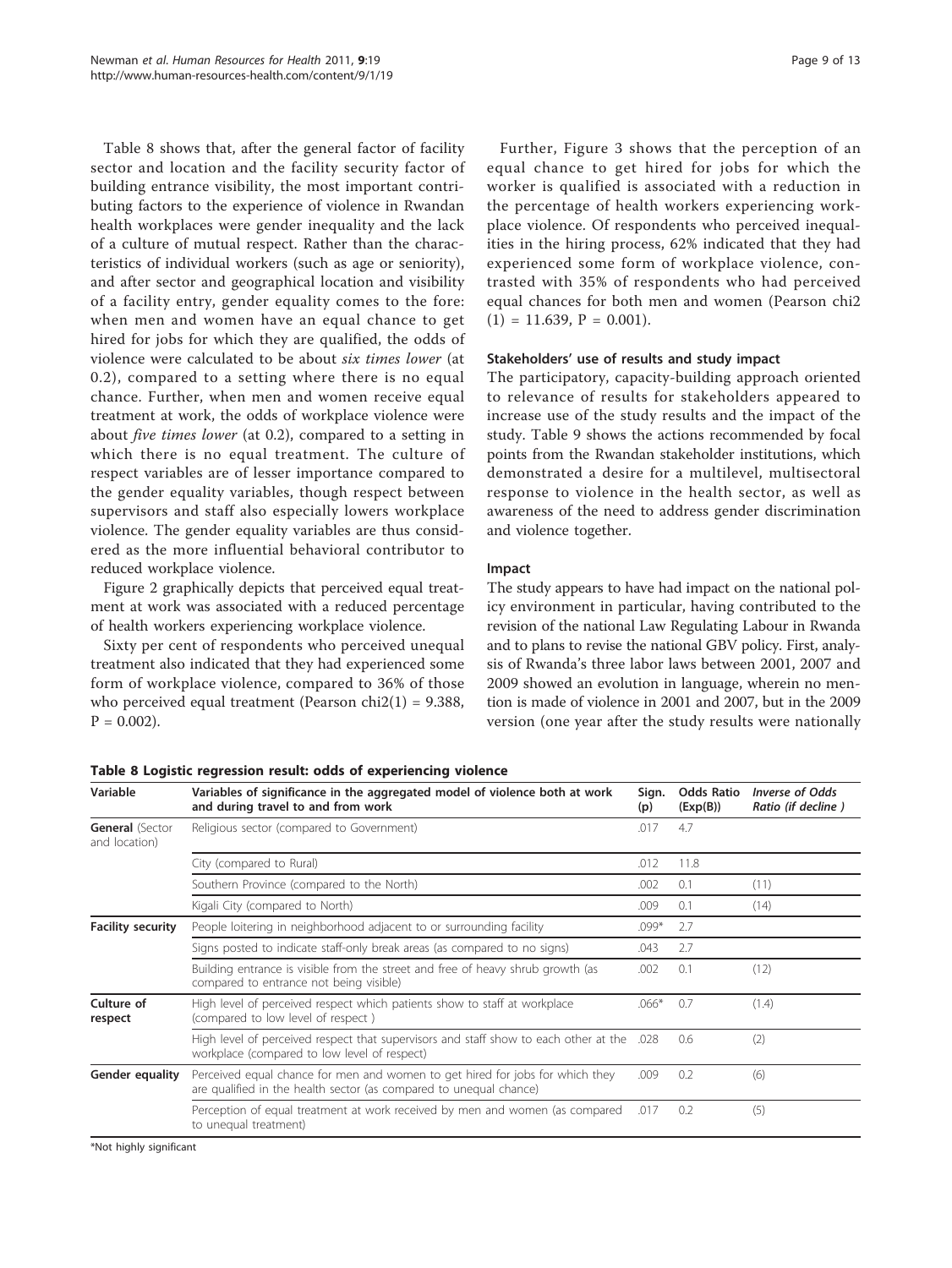Table 8 shows that, after the general factor of facility sector and location and the facility security factor of building entrance visibility, the most important contributing factors to the experience of violence in Rwandan health workplaces were gender inequality and the lack of a culture of mutual respect. Rather than the characteristics of individual workers (such as age or seniority), and after sector and geographical location and visibility of a facility entry, gender equality comes to the fore: when men and women have an equal chance to get hired for jobs for which they are qualified, the odds of violence were calculated to be about six times lower (at 0.2), compared to a setting where there is no equal chance. Further, when men and women receive equal treatment at work, the odds of workplace violence were about five times lower (at 0.2), compared to a setting in which there is no equal treatment. The culture of respect variables are of lesser importance compared to the gender equality variables, though respect between supervisors and staff also especially lowers workplace violence. The gender equality variables are thus considered as the more influential behavioral contributor to reduced workplace violence.

Figure [2](#page-10-0) graphically depicts that perceived equal treatment at work was associated with a reduced percentage of health workers experiencing workplace violence.

Sixty per cent of respondents who perceived unequal treatment also indicated that they had experienced some form of workplace violence, compared to 36% of those who perceived equal treatment (Pearson chi $2(1) = 9.388$ ,  $P = 0.002$ ).

Further, Figure [3](#page-10-0) shows that the perception of an equal chance to get hired for jobs for which the worker is qualified is associated with a reduction in the percentage of health workers experiencing workplace violence. Of respondents who perceived inequalities in the hiring process, 62% indicated that they had experienced some form of workplace violence, contrasted with 35% of respondents who had perceived equal chances for both men and women (Pearson chi2  $(1) = 11.639$ ,  $P = 0.001$ ).

#### Stakeholders' use of results and study impact

The participatory, capacity-building approach oriented to relevance of results for stakeholders appeared to increase use of the study results and the impact of the study. Table [9](#page-11-0) shows the actions recommended by focal points from the Rwandan stakeholder institutions, which demonstrated a desire for a multilevel, multisectoral response to violence in the health sector, as well as awareness of the need to address gender discrimination and violence together.

#### Impact

The study appears to have had impact on the national policy environment in particular, having contributed to the revision of the national Law Regulating Labour in Rwanda and to plans to revise the national GBV policy. First, analysis of Rwanda's three labor laws between 2001, 2007 and 2009 showed an evolution in language, wherein no mention is made of violence in 2001 and 2007, but in the 2009 version (one year after the study results were nationally

Table 8 Logistic regression result: odds of experiencing violence

| Variable                                | Variables of significance in the aggregated model of violence both at work<br>and during travel to and from work                                    | Sign.<br>(p) | <b>Odds Ratio</b><br>(Exp(B)) | <b>Inverse of Odds</b><br>Ratio (if decline) |
|-----------------------------------------|-----------------------------------------------------------------------------------------------------------------------------------------------------|--------------|-------------------------------|----------------------------------------------|
| <b>General</b> (Sector<br>and location) | Religious sector (compared to Government)                                                                                                           | .017         | 4.7                           |                                              |
|                                         | City (compared to Rural)                                                                                                                            | .012         | 11.8                          |                                              |
|                                         | Southern Province (compared to the North)                                                                                                           | .002         | 0.1                           | (11)                                         |
|                                         | Kigali City (compared to North)                                                                                                                     | .009         | 0.1                           | (14)                                         |
| <b>Facility security</b>                | People loitering in neighborhood adjacent to or surrounding facility                                                                                | .099*        | 2.7                           |                                              |
|                                         | Signs posted to indicate staff-only break areas (as compared to no signs)                                                                           | .043         | 2.7                           |                                              |
|                                         | Building entrance is visible from the street and free of heavy shrub growth (as<br>compared to entrance not being visible)                          | .002         | 0.1                           | (12)                                         |
| Culture of<br>respect                   | High level of perceived respect which patients show to staff at workplace<br>(compared to low level of respect)                                     | $.066*$      | 0.7                           | (1.4)                                        |
|                                         | High level of perceived respect that supervisors and staff show to each other at the<br>workplace (compared to low level of respect)                | .028         | 0.6                           | (2)                                          |
| Gender equality                         | Perceived equal chance for men and women to get hired for jobs for which they<br>are qualified in the health sector (as compared to unequal chance) | .009         | 0.2                           | (6)                                          |
|                                         | Perception of equal treatment at work received by men and women (as compared<br>to unequal treatment)                                               | .017         | 0.2                           | (5)                                          |

\*Not highly significant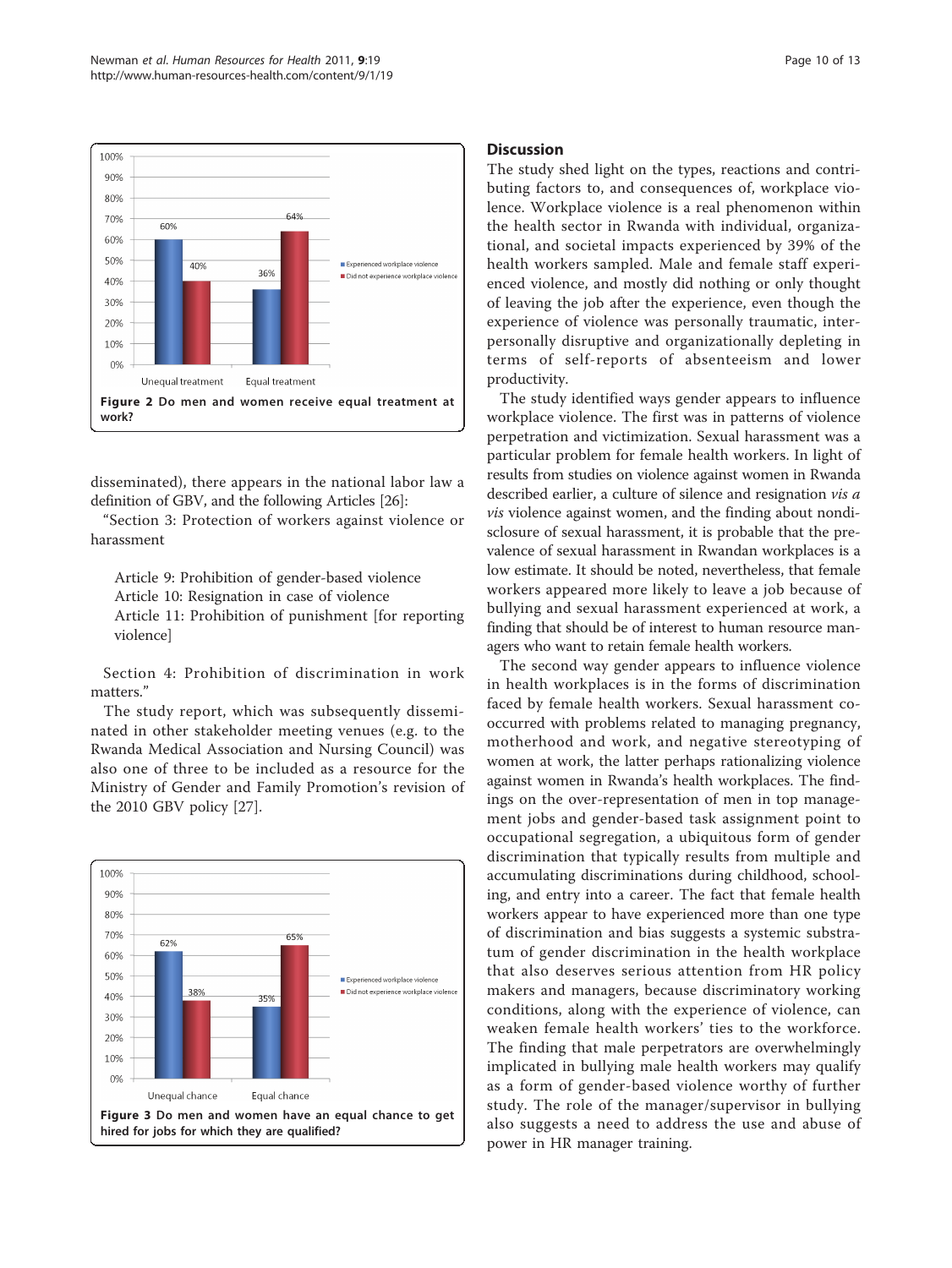<span id="page-10-0"></span>

disseminated), there appears in the national labor law a definition of GBV, and the following Articles [[26](#page-12-0)]:

"Section 3: Protection of workers against violence or harassment

Article 9: Prohibition of gender-based violence Article 10: Resignation in case of violence Article 11: Prohibition of punishment [for reporting violence]

Section 4: Prohibition of discrimination in work matters."

The study report, which was subsequently disseminated in other stakeholder meeting venues (e.g. to the Rwanda Medical Association and Nursing Council) was also one of three to be included as a resource for the Ministry of Gender and Family Promotion's revision of the 2010 GBV policy [\[27\]](#page-12-0).



#### **Discussion**

The study shed light on the types, reactions and contributing factors to, and consequences of, workplace violence. Workplace violence is a real phenomenon within the health sector in Rwanda with individual, organizational, and societal impacts experienced by 39% of the health workers sampled. Male and female staff experienced violence, and mostly did nothing or only thought of leaving the job after the experience, even though the experience of violence was personally traumatic, interpersonally disruptive and organizationally depleting in terms of self-reports of absenteeism and lower productivity.

The study identified ways gender appears to influence workplace violence. The first was in patterns of violence perpetration and victimization. Sexual harassment was a particular problem for female health workers. In light of results from studies on violence against women in Rwanda described earlier, a culture of silence and resignation vis a vis violence against women, and the finding about nondisclosure of sexual harassment, it is probable that the prevalence of sexual harassment in Rwandan workplaces is a low estimate. It should be noted, nevertheless, that female workers appeared more likely to leave a job because of bullying and sexual harassment experienced at work, a finding that should be of interest to human resource managers who want to retain female health workers.

The second way gender appears to influence violence in health workplaces is in the forms of discrimination faced by female health workers. Sexual harassment cooccurred with problems related to managing pregnancy, motherhood and work, and negative stereotyping of women at work, the latter perhaps rationalizing violence against women in Rwanda's health workplaces. The findings on the over-representation of men in top management jobs and gender-based task assignment point to occupational segregation, a ubiquitous form of gender discrimination that typically results from multiple and accumulating discriminations during childhood, schooling, and entry into a career. The fact that female health workers appear to have experienced more than one type of discrimination and bias suggests a systemic substratum of gender discrimination in the health workplace that also deserves serious attention from HR policy makers and managers, because discriminatory working conditions, along with the experience of violence, can weaken female health workers' ties to the workforce. The finding that male perpetrators are overwhelmingly implicated in bullying male health workers may qualify as a form of gender-based violence worthy of further study. The role of the manager/supervisor in bullying also suggests a need to address the use and abuse of power in HR manager training.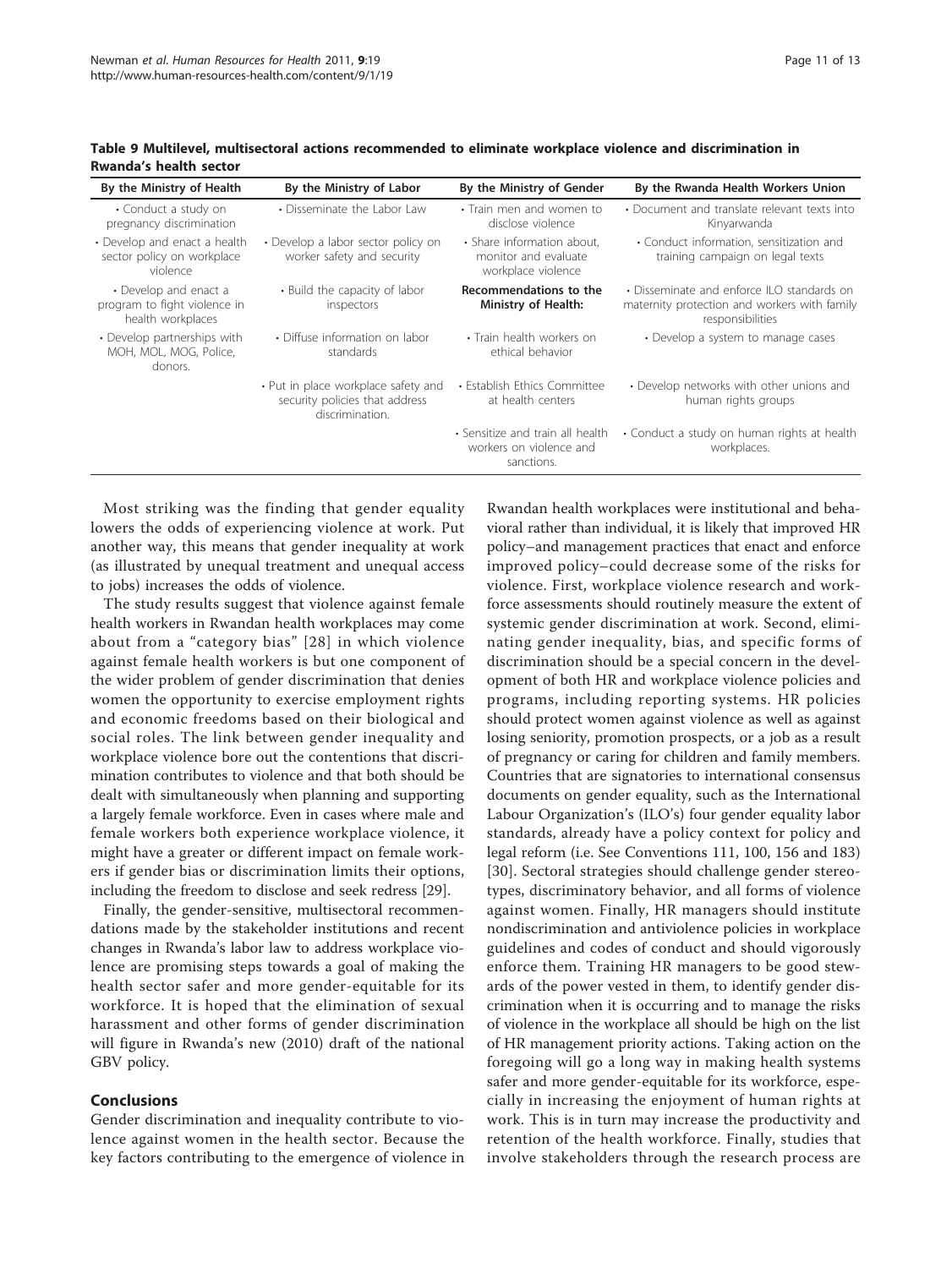| By the Ministry of Health                                                  | By the Ministry of Labor                                                                 | By the Ministry of Gender                                                 | By the Rwanda Health Workers Union                                                                                    |
|----------------------------------------------------------------------------|------------------------------------------------------------------------------------------|---------------------------------------------------------------------------|-----------------------------------------------------------------------------------------------------------------------|
| • Conduct a study on<br>pregnancy discrimination                           | • Disseminate the Labor Law                                                              | • Train men and women to<br>disclose violence                             | • Document and translate relevant texts into<br>Kinyarwanda                                                           |
| • Develop and enact a health<br>sector policy on workplace<br>violence     | • Develop a labor sector policy on<br>worker safety and security                         | • Share information about.<br>monitor and evaluate<br>workplace violence  | • Conduct information, sensitization and<br>training campaign on legal texts                                          |
| • Develop and enact a<br>program to fight violence in<br>health workplaces | • Build the capacity of labor<br>inspectors                                              | Recommendations to the<br>Ministry of Health:                             | $\cdot$ Disseminate and enforce II O standards on<br>maternity protection and workers with family<br>responsibilities |
| • Develop partnerships with<br>MOH, MOL, MOG, Police,<br>donors.           | • Diffuse information on labor<br>standards                                              | • Train health workers on<br>ethical behavior                             | • Develop a system to manage cases                                                                                    |
|                                                                            | • Put in place workplace safety and<br>security policies that address<br>discrimination. | • Establish Ethics Committee<br>at health centers                         | • Develop networks with other unions and<br>human rights groups                                                       |
|                                                                            |                                                                                          | • Sensitize and train all health<br>workers on violence and<br>sanctions. | • Conduct a study on human rights at health<br>workplaces.                                                            |

<span id="page-11-0"></span>Table 9 Multilevel, multisectoral actions recommended to eliminate workplace violence and discrimination in Rwanda's health sector

Most striking was the finding that gender equality lowers the odds of experiencing violence at work. Put another way, this means that gender inequality at work (as illustrated by unequal treatment and unequal access to jobs) increases the odds of violence.

The study results suggest that violence against female health workers in Rwandan health workplaces may come about from a "category bias" [\[28](#page-13-0)] in which violence against female health workers is but one component of the wider problem of gender discrimination that denies women the opportunity to exercise employment rights and economic freedoms based on their biological and social roles. The link between gender inequality and workplace violence bore out the contentions that discrimination contributes to violence and that both should be dealt with simultaneously when planning and supporting a largely female workforce. Even in cases where male and female workers both experience workplace violence, it might have a greater or different impact on female workers if gender bias or discrimination limits their options, including the freedom to disclose and seek redress [\[29\]](#page-13-0).

Finally, the gender-sensitive, multisectoral recommendations made by the stakeholder institutions and recent changes in Rwanda's labor law to address workplace violence are promising steps towards a goal of making the health sector safer and more gender-equitable for its workforce. It is hoped that the elimination of sexual harassment and other forms of gender discrimination will figure in Rwanda's new (2010) draft of the national GBV policy.

#### Conclusions

Gender discrimination and inequality contribute to violence against women in the health sector. Because the key factors contributing to the emergence of violence in Rwandan health workplaces were institutional and behavioral rather than individual, it is likely that improved HR policy–and management practices that enact and enforce improved policy–could decrease some of the risks for violence. First, workplace violence research and workforce assessments should routinely measure the extent of systemic gender discrimination at work. Second, eliminating gender inequality, bias, and specific forms of discrimination should be a special concern in the development of both HR and workplace violence policies and programs, including reporting systems. HR policies should protect women against violence as well as against losing seniority, promotion prospects, or a job as a result of pregnancy or caring for children and family members. Countries that are signatories to international consensus documents on gender equality, such as the International Labour Organization's (ILO's) four gender equality labor standards, already have a policy context for policy and legal reform (i.e. See Conventions 111, 100, 156 and 183) [[30](#page-13-0)]. Sectoral strategies should challenge gender stereotypes, discriminatory behavior, and all forms of violence against women. Finally, HR managers should institute nondiscrimination and antiviolence policies in workplace guidelines and codes of conduct and should vigorously enforce them. Training HR managers to be good stewards of the power vested in them, to identify gender discrimination when it is occurring and to manage the risks of violence in the workplace all should be high on the list of HR management priority actions. Taking action on the foregoing will go a long way in making health systems safer and more gender-equitable for its workforce, especially in increasing the enjoyment of human rights at work. This is in turn may increase the productivity and retention of the health workforce. Finally, studies that involve stakeholders through the research process are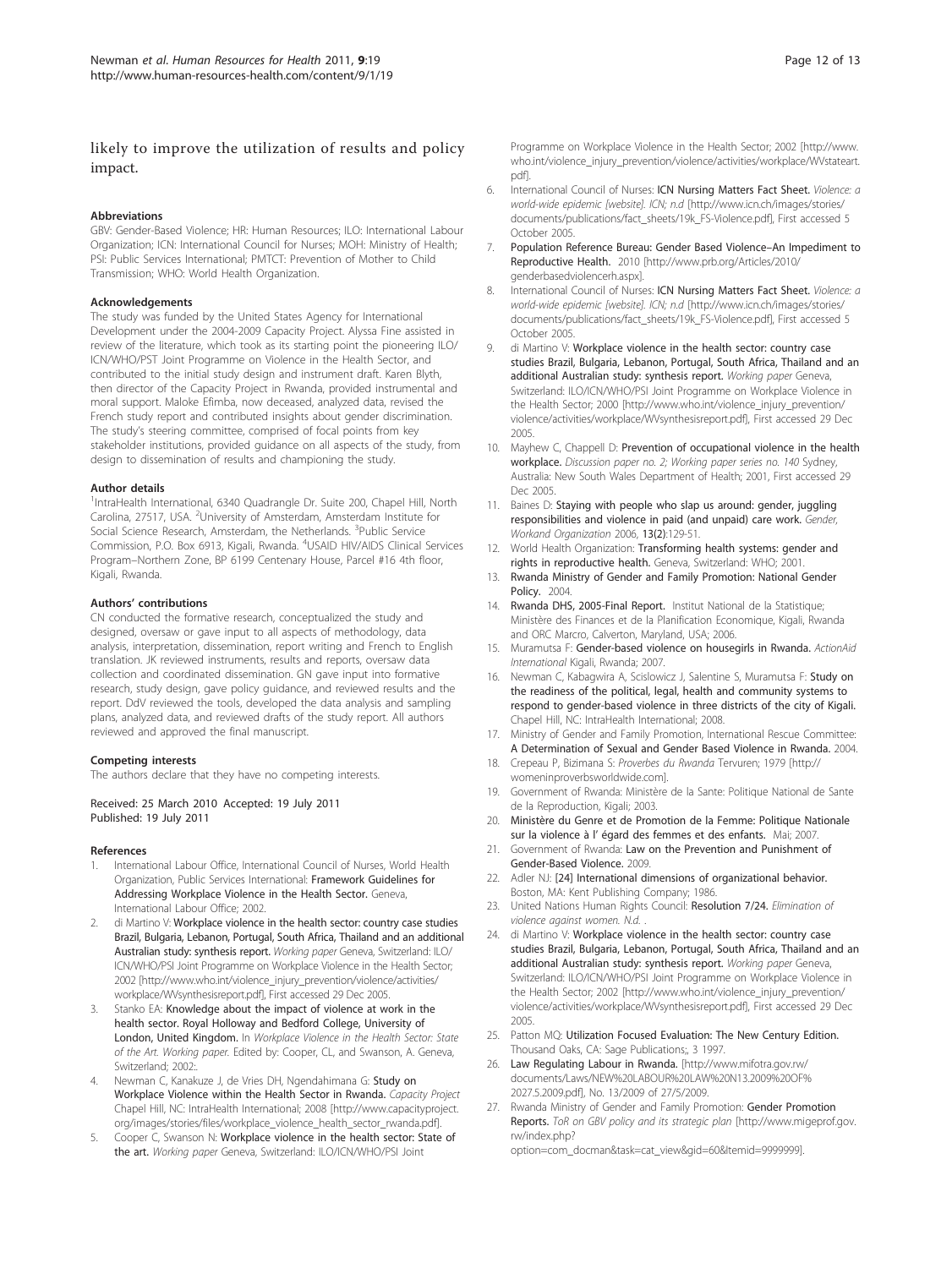#### <span id="page-12-0"></span>likely to improve the utilization of results and policy impact.

#### Abbreviations

GBV: Gender-Based Violence; HR: Human Resources; ILO: International Labour Organization; ICN: International Council for Nurses; MOH: Ministry of Health; PSI: Public Services International; PMTCT: Prevention of Mother to Child Transmission; WHO: World Health Organization.

#### Acknowledgements

The study was funded by the United States Agency for International Development under the 2004-2009 Capacity Project. Alyssa Fine assisted in review of the literature, which took as its starting point the pioneering ILO/ ICN/WHO/PST Joint Programme on Violence in the Health Sector, and contributed to the initial study design and instrument draft. Karen Blyth, then director of the Capacity Project in Rwanda, provided instrumental and moral support. Maloke Efimba, now deceased, analyzed data, revised the French study report and contributed insights about gender discrimination. The study's steering committee, comprised of focal points from key stakeholder institutions, provided guidance on all aspects of the study, from design to dissemination of results and championing the study.

#### Author details

<sup>1</sup>IntraHealth International, 6340 Quadrangle Dr. Suite 200, Chapel Hill, North Carolina, 27517, USA. <sup>2</sup>University of Amsterdam, Amsterdam Institute for Social Science Research, Amsterdam, the Netherlands. <sup>3</sup>Public Service Commission, P.O. Box 6913, Kigali, Rwanda. <sup>4</sup>USAID HIV/AIDS Clinical Services Program–Northern Zone, BP 6199 Centenary House, Parcel #16 4th floor, Kigali, Rwanda.

#### Authors' contributions

CN conducted the formative research, conceptualized the study and designed, oversaw or gave input to all aspects of methodology, data analysis, interpretation, dissemination, report writing and French to English translation. JK reviewed instruments, results and reports, oversaw data collection and coordinated dissemination. GN gave input into formative research, study design, gave policy guidance, and reviewed results and the report. DdV reviewed the tools, developed the data analysis and sampling plans, analyzed data, and reviewed drafts of the study report. All authors reviewed and approved the final manuscript.

#### Competing interests

The authors declare that they have no competing interests.

Received: 25 March 2010 Accepted: 19 July 2011 Published: 19 July 2011

#### References

- 1. International Labour Office, International Council of Nurses, World Health Organization, Public Services International: Framework Guidelines for Addressing Workplace Violence in the Health Sector. Geneva, International Labour Office; 2002.
- di Martino V: Workplace violence in the health sector: country case studies Brazil, Bulgaria, Lebanon, Portugal, South Africa, Thailand and an additional Australian study: synthesis report. Working paper Geneva, Switzerland: ILO/ ICN/WHO/PSI Joint Programme on Workplace Violence in the Health Sector; 2002 [[http://www.who.int/violence\\_injury\\_prevention/violence/activities/](http://www.who.int/violence_injury_prevention/violence/activities/workplace/WVsynthesisreport.pdf) [workplace/WVsynthesisreport.pdf\]](http://www.who.int/violence_injury_prevention/violence/activities/workplace/WVsynthesisreport.pdf), First accessed 29 Dec 2005.
- Stanko EA: Knowledge about the impact of violence at work in the health sector. Royal Holloway and Bedford College, University of London, United Kingdom. In Workplace Violence in the Health Sector: State of the Art. Working paper. Edited by: Cooper, CL, and Swanson, A. Geneva, Switzerland: 2002:
- Newman C, Kanakuze J, de Vries DH, Ngendahimana G: Study on Workplace Violence within the Health Sector in Rwanda. Capacity Project Chapel Hill, NC: IntraHealth International; 2008 [[http://www.capacityproject.](http://www.capacityproject.org/images/stories/files/workplace_violence_health_sector_rwanda.pdf) [org/images/stories/files/workplace\\_violence\\_health\\_sector\\_rwanda.pdf](http://www.capacityproject.org/images/stories/files/workplace_violence_health_sector_rwanda.pdf)].
- Cooper C, Swanson N: Workplace violence in the health sector: State of the art. Working paper Geneva, Switzerland: ILO/ICN/WHO/PSI Joint

Programme on Workplace Violence in the Health Sector; 2002 [[http://www.](http://www.who.int/violence_injury_prevention/violence/activities/workplace/WVstateart.pdf) [who.int/violence\\_injury\\_prevention/violence/activities/workplace/WVstateart.](http://www.who.int/violence_injury_prevention/violence/activities/workplace/WVstateart.pdf) [pdf](http://www.who.int/violence_injury_prevention/violence/activities/workplace/WVstateart.pdf)].

- 6. International Council of Nurses: ICN Nursing Matters Fact Sheet. Violence: a world-wide epidemic [website]. ICN; n.d [\[http://www.icn.ch/images/stories/](http://www.icn.ch/images/stories/documents/publications/fact_sheets/19k_FS-Violence.pdf) [documents/publications/fact\\_sheets/19k\\_FS-Violence.pdf\]](http://www.icn.ch/images/stories/documents/publications/fact_sheets/19k_FS-Violence.pdf), First accessed 5 October 2005.
- 7. Population Reference Bureau: Gender Based Violence–An Impediment to Reproductive Health. 2010 [[http://www.prb.org/Articles/2010/](http://www.prb.org/Articles/2010/genderbasedviolencerh.aspx) [genderbasedviolencerh.aspx](http://www.prb.org/Articles/2010/genderbasedviolencerh.aspx)].
- 8. International Council of Nurses: ICN Nursing Matters Fact Sheet. Violence: a world-wide epidemic [website]. ICN; n.d [\[http://www.icn.ch/images/stories/](http://www.icn.ch/images/stories/documents/publications/fact_sheets/19k_FS-Violence.pdf) [documents/publications/fact\\_sheets/19k\\_FS-Violence.pdf\]](http://www.icn.ch/images/stories/documents/publications/fact_sheets/19k_FS-Violence.pdf), First accessed 5 October 2005.
- 9. di Martino V: Workplace violence in the health sector: country case studies Brazil, Bulgaria, Lebanon, Portugal, South Africa, Thailand and an additional Australian study: synthesis report. Working paper Geneva, Switzerland: ILO/ICN/WHO/PSI Joint Programme on Workplace Violence in the Health Sector; 2000 [\[http://www.who.int/violence\\_injury\\_prevention/](http://www.who.int/violence_injury_prevention/violence/activities/workplace/WVsynthesisreport.pdf) [violence/activities/workplace/WVsynthesisreport.pdf](http://www.who.int/violence_injury_prevention/violence/activities/workplace/WVsynthesisreport.pdf)], First accessed 29 Dec 2005.
- 10. Mayhew C, Chappell D: [Prevention of occupational violence in the health](http://www.ncbi.nlm.nih.gov/pubmed/NaN?dopt=Abstract) [workplace.](http://www.ncbi.nlm.nih.gov/pubmed/NaN?dopt=Abstract) Discussion paper no. 2; Working paper series no. 140 Sydney, Australia: New South Wales Department of Health; 2001, First accessed 29 Dec 2005.
- 11. Baines D: Staying with people who slap us around: gender, juggling responsibilities and violence in paid (and unpaid) care work. Gender, Workand Organization 2006, 13(2):129-51.
- 12. World Health Organization: Transforming health systems: gender and rights in reproductive health. Geneva, Switzerland: WHO; 2001.
- 13. Rwanda Ministry of Gender and Family Promotion: National Gender Policy. 2004.
- 14. Rwanda DHS, 2005-Final Report. Institut National de la Statistique; Ministère des Finances et de la Planification Economique, Kigali, Rwanda and ORC Marcro, Calverton, Maryland, USA; 2006.
- 15. Muramutsa F: Gender-based violence on housegirls in Rwanda. ActionAid International Kigali, Rwanda; 2007.
- 16. Newman C, Kabagwira A, Scislowicz J, Salentine S, Muramutsa F: Study on the readiness of the political, legal, health and community systems to respond to gender-based violence in three districts of the city of Kigali. Chapel Hill, NC: IntraHealth International; 2008.
- 17. Ministry of Gender and Family Promotion, International Rescue Committee: A Determination of Sexual and Gender Based Violence in Rwanda. 2004.
- 18. Crepeau P, Bizimana S: Proverbes du Rwanda Tervuren; 1979 [[http://](http://womeninproverbsworldwide.com) [womeninproverbsworldwide.com](http://womeninproverbsworldwide.com)].
- 19. Government of Rwanda: Ministère de la Sante: Politique National de Sante de la Reproduction, Kigali; 2003.
- 20. Ministère du Genre et de Promotion de la Femme: Politique Nationale sur la violence à l' égard des femmes et des enfants. Mai; 2007.
- 21. Government of Rwanda: Law on the Prevention and Punishment of Gender-Based Violence. 2009.
- 22. Adler NJ: [24] International dimensions of organizational behavior. Boston, MA: Kent Publishing Company; 1986.
- 23. United Nations Human Rights Council: Resolution 7/24. Elimination of violence against women. N.d.
- 24. di Martino V: Workplace violence in the health sector: country case studies Brazil, Bulgaria, Lebanon, Portugal, South Africa, Thailand and an additional Australian study: synthesis report. Working paper Geneva, Switzerland: ILO/ICN/WHO/PSI Joint Programme on Workplace Violence in the Health Sector; 2002 [\[http://www.who.int/violence\\_injury\\_prevention/](http://www.who.int/violence_injury_prevention/violence/activities/workplace/WVsynthesisreport.pdf) [violence/activities/workplace/WVsynthesisreport.pdf](http://www.who.int/violence_injury_prevention/violence/activities/workplace/WVsynthesisreport.pdf)], First accessed 29 Dec 2005.
- 25. Patton MQ: Utilization Focused Evaluation: The New Century Edition. Thousand Oaks, CA: Sage Publications:, 3 1997.
- 26. Law Regulating Labour in Rwanda. [\[http://www.mifotra.gov.rw/](http://www.mifotra.gov.rw/documents/Laws/NEW%20LABOUR%20LAW%20N13.2009%20OF%2027.5.2009.pdf) [documents/Laws/NEW%20LABOUR%20LAW%20N13.2009%20OF%](http://www.mifotra.gov.rw/documents/Laws/NEW%20LABOUR%20LAW%20N13.2009%20OF%2027.5.2009.pdf) [2027.5.2009.pdf](http://www.mifotra.gov.rw/documents/Laws/NEW%20LABOUR%20LAW%20N13.2009%20OF%2027.5.2009.pdf)], No. 13/2009 of 27/5/2009.
- Rwanda Ministry of Gender and Family Promotion: Gender Promotion Reports. ToR on GBV policy and its strategic plan [\[http://www.migeprof.gov.](http://www.migeprof.gov.rw/index.php?option=com_docman&task=cat_view&gid=60&Itemid=9999999) [rw/index.php?](http://www.migeprof.gov.rw/index.php?option=com_docman&task=cat_view&gid=60&Itemid=9999999)

[option=com\\_docman&task=cat\\_view&gid=60&Itemid=9999999](http://www.migeprof.gov.rw/index.php?option=com_docman&task=cat_view&gid=60&Itemid=9999999)].